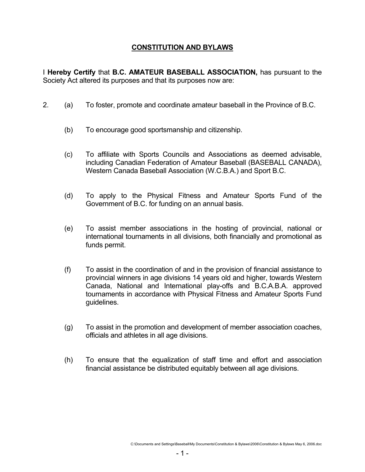# **CONSTITUTION AND BYLAWS**

I **Hereby Certify** that **B.C. AMATEUR BASEBALL ASSOCIATION,** has pursuant to the Society Act altered its purposes and that its purposes now are:

- 2. (a) To foster, promote and coordinate amateur baseball in the Province of B.C.
	- (b) To encourage good sportsmanship and citizenship.
	- (c) To affiliate with Sports Councils and Associations as deemed advisable, including Canadian Federation of Amateur Baseball (BASEBALL CANADA), Western Canada Baseball Association (W.C.B.A.) and Sport B.C.
	- (d) To apply to the Physical Fitness and Amateur Sports Fund of the Government of B.C. for funding on an annual basis.
	- (e) To assist member associations in the hosting of provincial, national or international tournaments in all divisions, both financially and promotional as funds permit.
	- (f) To assist in the coordination of and in the provision of financial assistance to provincial winners in age divisions 14 years old and higher, towards Western Canada, National and International play-offs and B.C.A.B.A. approved tournaments in accordance with Physical Fitness and Amateur Sports Fund guidelines.
	- (g) To assist in the promotion and development of member association coaches, officials and athletes in all age divisions.
	- (h) To ensure that the equalization of staff time and effort and association financial assistance be distributed equitably between all age divisions.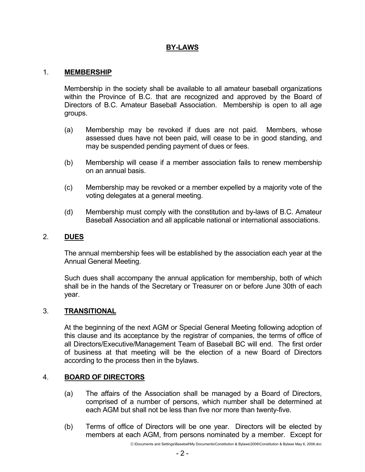# **BY-LAWS**

### 1. **MEMBERSHIP**

 Membership in the society shall be available to all amateur baseball organizations within the Province of B.C. that are recognized and approved by the Board of Directors of B.C. Amateur Baseball Association. Membership is open to all age groups.

- (a) Membership may be revoked if dues are not paid. Members, whose assessed dues have not been paid, will cease to be in good standing, and may be suspended pending payment of dues or fees.
- (b) Membership will cease if a member association fails to renew membership on an annual basis.
- (c) Membership may be revoked or a member expelled by a majority vote of the voting delegates at a general meeting.
- (d) Membership must comply with the constitution and by-laws of B.C. Amateur Baseball Association and all applicable national or international associations.

### 2. **DUES**

 The annual membership fees will be established by the association each year at the Annual General Meeting.

 Such dues shall accompany the annual application for membership, both of which shall be in the hands of the Secretary or Treasurer on or before June 30th of each year.

### 3. **TRANSITIONAL**

 At the beginning of the next AGM or Special General Meeting following adoption of this clause and its acceptance by the registrar of companies, the terms of office of all Directors/Executive/Management Team of Baseball BC will end. The first order of business at that meeting will be the election of a new Board of Directors according to the process then in the bylaws.

## 4. **BOARD OF DIRECTORS**

- (a) The affairs of the Association shall be managed by a Board of Directors, comprised of a number of persons, which number shall be determined at each AGM but shall not be less than five nor more than twenty-five.
- (b) Terms of office of Directors will be one year. Directors will be elected by members at each AGM, from persons nominated by a member. Except for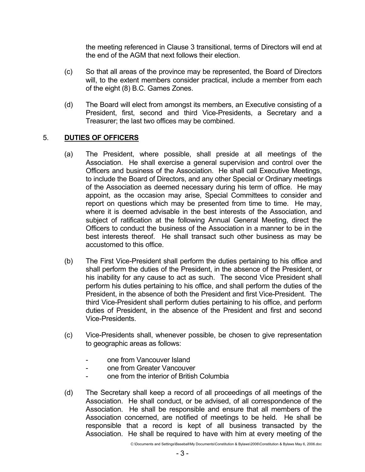the meeting referenced in Clause 3 transitional, terms of Directors will end at the end of the AGM that next follows their election.

- (c) So that all areas of the province may be represented, the Board of Directors will, to the extent members consider practical, include a member from each of the eight (8) B.C. Games Zones.
- (d) The Board will elect from amongst its members, an Executive consisting of a President, first, second and third Vice-Presidents, a Secretary and a Treasurer; the last two offices may be combined.

## 5. **DUTIES OF OFFICERS**

- (a) The President, where possible, shall preside at all meetings of the Association. He shall exercise a general supervision and control over the Officers and business of the Association. He shall call Executive Meetings, to include the Board of Directors, and any other Special or Ordinary meetings of the Association as deemed necessary during his term of office. He may appoint, as the occasion may arise, Special Committees to consider and report on questions which may be presented from time to time. He may, where it is deemed advisable in the best interests of the Association, and subject of ratification at the following Annual General Meeting, direct the Officers to conduct the business of the Association in a manner to be in the best interests thereof. He shall transact such other business as may be accustomed to this office.
- (b) The First Vice-President shall perform the duties pertaining to his office and shall perform the duties of the President, in the absence of the President, or his inability for any cause to act as such. The second Vice President shall perform his duties pertaining to his office, and shall perform the duties of the President, in the absence of both the President and first Vice-President. The third Vice-President shall perform duties pertaining to his office, and perform duties of President, in the absence of the President and first and second Vice-Presidents.
- (c) Vice-Presidents shall, whenever possible, be chosen to give representation to geographic areas as follows:
	- one from Vancouver Island
	- one from Greater Vancouver
	- one from the interior of British Columbia
- (d) The Secretary shall keep a record of all proceedings of all meetings of the Association. He shall conduct, or be advised, of all correspondence of the Association. He shall be responsible and ensure that all members of the Association concerned, are notified of meetings to be held. He shall be responsible that a record is kept of all business transacted by the Association. He shall be required to have with him at every meeting of the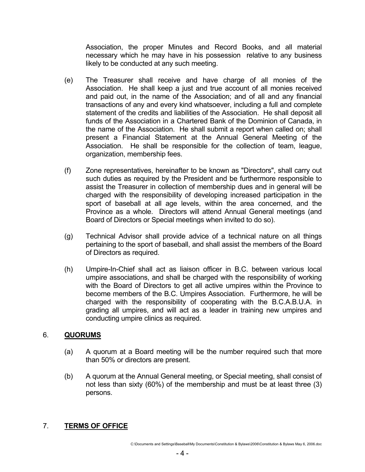Association, the proper Minutes and Record Books, and all material necessary which he may have in his possession relative to any business likely to be conducted at any such meeting.

- (e) The Treasurer shall receive and have charge of all monies of the Association. He shall keep a just and true account of all monies received and paid out, in the name of the Association; and of all and any financial transactions of any and every kind whatsoever, including a full and complete statement of the credits and liabilities of the Association. He shall deposit all funds of the Association in a Chartered Bank of the Dominion of Canada, in the name of the Association. He shall submit a report when called on; shall present a Financial Statement at the Annual General Meeting of the Association. He shall be responsible for the collection of team, league, organization, membership fees.
- (f) Zone representatives, hereinafter to be known as "Directors", shall carry out such duties as required by the President and be furthermore responsible to assist the Treasurer in collection of membership dues and in general will be charged with the responsibility of developing increased participation in the sport of baseball at all age levels, within the area concerned, and the Province as a whole. Directors will attend Annual General meetings (and Board of Directors or Special meetings when invited to do so).
- (g) Technical Advisor shall provide advice of a technical nature on all things pertaining to the sport of baseball, and shall assist the members of the Board of Directors as required.
- (h) Umpire-In-Chief shall act as liaison officer in B.C. between various local umpire associations, and shall be charged with the responsibility of working with the Board of Directors to get all active umpires within the Province to become members of the B.C. Umpires Association. Furthermore, he will be charged with the responsibility of cooperating with the B.C.A.B.U.A. in grading all umpires, and will act as a leader in training new umpires and conducting umpire clinics as required.

## 6. **QUORUMS**

- (a) A quorum at a Board meeting will be the number required such that more than 50% or directors are present.
- (b) A quorum at the Annual General meeting, or Special meeting, shall consist of not less than sixty (60%) of the membership and must be at least three (3) persons.

# 7. **TERMS OF OFFICE**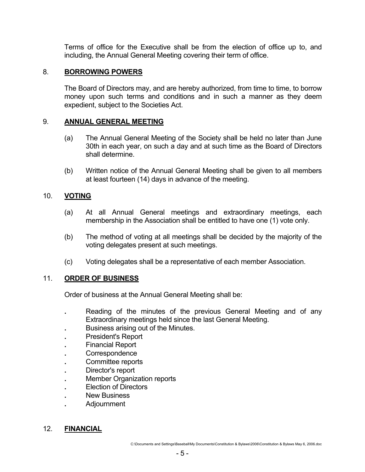Terms of office for the Executive shall be from the election of office up to, and including, the Annual General Meeting covering their term of office.

## 8. **BORROWING POWERS**

 The Board of Directors may, and are hereby authorized, from time to time, to borrow money upon such terms and conditions and in such a manner as they deem expedient, subject to the Societies Act.

### 9. **ANNUAL GENERAL MEETING**

- (a) The Annual General Meeting of the Society shall be held no later than June 30th in each year, on such a day and at such time as the Board of Directors shall determine.
- (b) Written notice of the Annual General Meeting shall be given to all members at least fourteen (14) days in advance of the meeting.

### 10. **VOTING**

- (a) At all Annual General meetings and extraordinary meetings, each membership in the Association shall be entitled to have one (1) vote only.
- (b) The method of voting at all meetings shall be decided by the majority of the voting delegates present at such meetings.
- (c) Voting delegates shall be a representative of each member Association.

### 11. **ORDER OF BUSINESS**

Order of business at the Annual General Meeting shall be:

- **.** Reading of the minutes of the previous General Meeting and of any Extraordinary meetings held since the last General Meeting.
- **Business arising out of the Minutes.**
- **.** President's Report
- **Financial Report**
- **.** Correspondence
- **.** Committee reports
- **.** Director's report
- **Member Organization reports**
- **Election of Directors**
- **New Business**
- **.** Adjournment

### 12. **FINANCIAL**